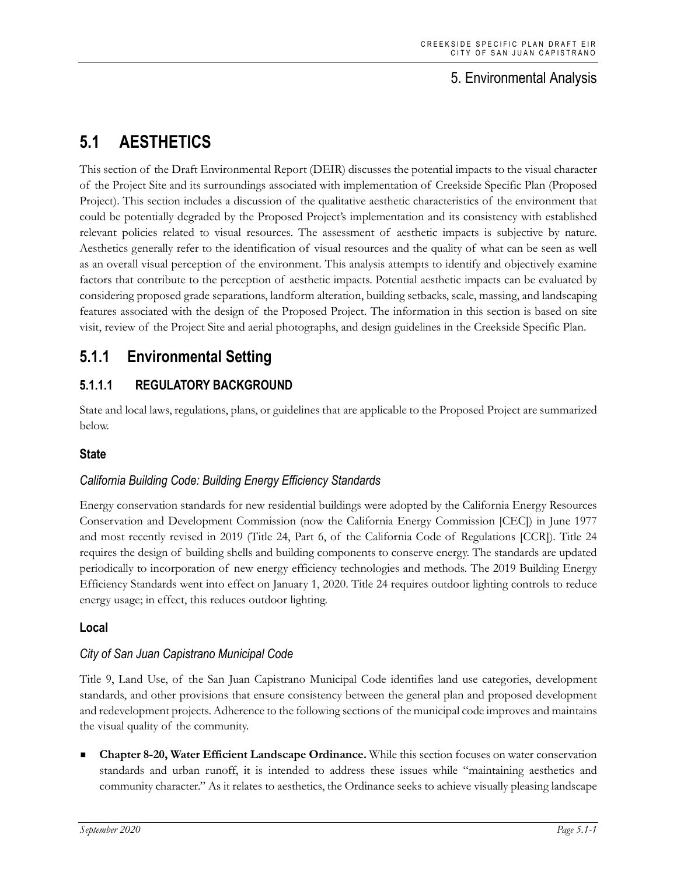## 5. Environmental Analysis

# **5.1 AESTHETICS**

This section of the Draft Environmental Report (DEIR) discusses the potential impacts to the visual character of the Project Site and its surroundings associated with implementation of Creekside Specific Plan (Proposed Project). This section includes a discussion of the qualitative aesthetic characteristics of the environment that could be potentially degraded by the Proposed Project's implementation and its consistency with established relevant policies related to visual resources. The assessment of aesthetic impacts is subjective by nature. Aesthetics generally refer to the identification of visual resources and the quality of what can be seen as well as an overall visual perception of the environment. This analysis attempts to identify and objectively examine factors that contribute to the perception of aesthetic impacts. Potential aesthetic impacts can be evaluated by considering proposed grade separations, landform alteration, building setbacks, scale, massing, and landscaping features associated with the design of the Proposed Project. The information in this section is based on site visit, review of the Project Site and aerial photographs, and design guidelines in the Creekside Specific Plan.

# **5.1.1 Environmental Setting**

## **5.1.1.1 REGULATORY BACKGROUND**

State and local laws, regulations, plans, or guidelines that are applicable to the Proposed Project are summarized below.

#### **State**

### *California Building Code: Building Energy Efficiency Standards*

Energy conservation standards for new residential buildings were adopted by the California Energy Resources Conservation and Development Commission (now the California Energy Commission [CEC]) in June 1977 and most recently revised in 2019 (Title 24, Part 6, of the California Code of Regulations [CCR]). Title 24 requires the design of building shells and building components to conserve energy. The standards are updated periodically to incorporation of new energy efficiency technologies and methods. The 2019 Building Energy Efficiency Standards went into effect on January 1, 2020. Title 24 requires outdoor lighting controls to reduce energy usage; in effect, this reduces outdoor lighting.

#### **Local**

#### *City of San Juan Capistrano Municipal Code*

Title 9, Land Use, of the San Juan Capistrano Municipal Code identifies land use categories, development standards, and other provisions that ensure consistency between the general plan and proposed development and redevelopment projects. Adherence to the following sections of the municipal code improves and maintains the visual quality of the community.

 **Chapter 8-20, Water Efficient Landscape Ordinance.** While this section focuses on water conservation standards and urban runoff, it is intended to address these issues while "maintaining aesthetics and community character." As it relates to aesthetics, the Ordinance seeks to achieve visually pleasing landscape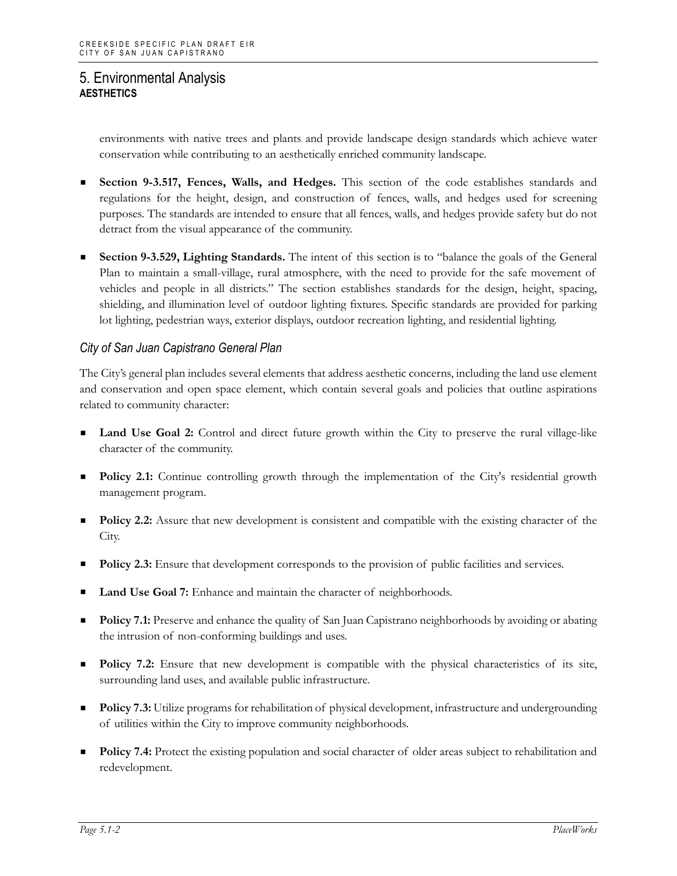environments with native trees and plants and provide landscape design standards which achieve water conservation while contributing to an aesthetically enriched community landscape.

- **Section 9-3.517, Fences, Walls, and Hedges.** This section of the code establishes standards and regulations for the height, design, and construction of fences, walls, and hedges used for screening purposes. The standards are intended to ensure that all fences, walls, and hedges provide safety but do not detract from the visual appearance of the community.
- **Section 9-3.529, Lighting Standards.** The intent of this section is to "balance the goals of the General Plan to maintain a small-village, rural atmosphere, with the need to provide for the safe movement of vehicles and people in all districts." The section establishes standards for the design, height, spacing, shielding, and illumination level of outdoor lighting fixtures. Specific standards are provided for parking lot lighting, pedestrian ways, exterior displays, outdoor recreation lighting, and residential lighting.

#### *City of San Juan Capistrano General Plan*

The City's general plan includes several elements that address aesthetic concerns, including the land use element and conservation and open space element, which contain several goals and policies that outline aspirations related to community character:

- **Land Use Goal 2:** Control and direct future growth within the City to preserve the rural village-like character of the community.
- **Policy 2.1:** Continue controlling growth through the implementation of the City's residential growth management program.
- **Policy 2.2:** Assure that new development is consistent and compatible with the existing character of the City.
- Policy 2.3: Ensure that development corresponds to the provision of public facilities and services.
- **Land Use Goal 7:** Enhance and maintain the character of neighborhoods.
- **Policy 7.1:** Preserve and enhance the quality of San Juan Capistrano neighborhoods by avoiding or abating the intrusion of non-conforming buildings and uses.
- **Policy 7.2:** Ensure that new development is compatible with the physical characteristics of its site, surrounding land uses, and available public infrastructure.
- **Policy 7.3:** Utilize programs for rehabilitation of physical development, infrastructure and undergrounding of utilities within the City to improve community neighborhoods.
- **Policy 7.4:** Protect the existing population and social character of older areas subject to rehabilitation and redevelopment.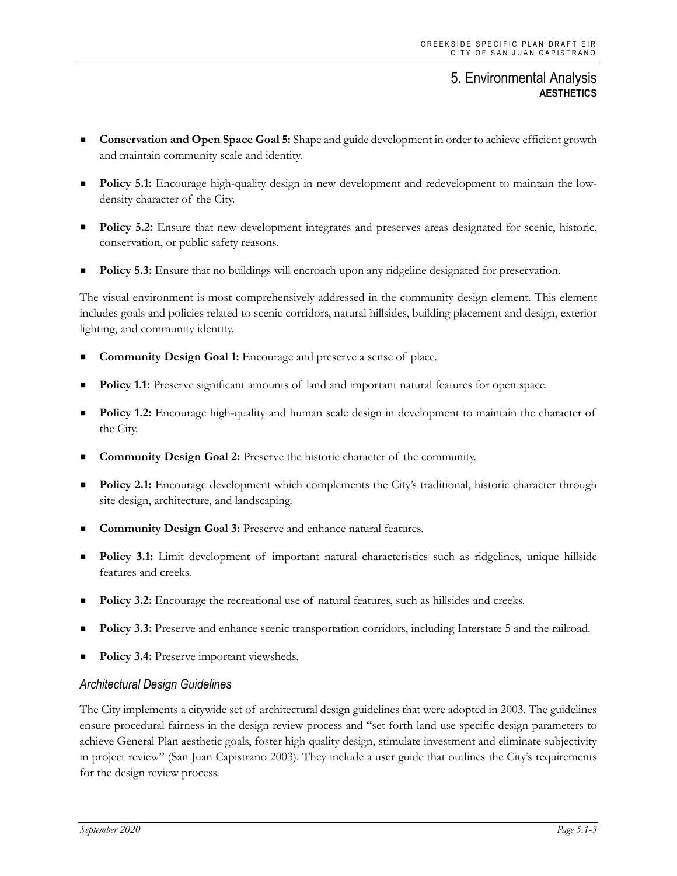- **Conservation and Open Space Goal 5:** Shape and guide development in order to achieve efficient growth and maintain community scale and identity.
- **Policy 5.1:** Encourage high-quality design in new development and redevelopment to maintain the lowdensity character of the City.
- **Policy 5.2:** Ensure that new development integrates and preserves areas designated for scenic, historic, conservation, or public safety reasons.
- **Policy 5.3:** Ensure that no buildings will encroach upon any ridgeline designated for preservation.

The visual environment is most comprehensively addressed in the community design element. This element includes goals and policies related to scenic corridors, natural hillsides, building placement and design, exterior lighting, and community identity.

- **Community Design Goal 1:** Encourage and preserve a sense of place.
- **Policy 1.1:** Preserve significant amounts of land and important natural features for open space.
- **Policy 1.2:** Encourage high-quality and human scale design in development to maintain the character of the City.
- **Community Design Goal 2:** Preserve the historic character of the community.
- Policy 2.1: Encourage development which complements the City's traditional, historic character through site design, architecture, and landscaping.
- **Community Design Goal 3:** Preserve and enhance natural features.
- **Policy 3.1:** Limit development of important natural characteristics such as ridgelines, unique hillside features and creeks.
- **Policy 3.2:** Encourage the recreational use of natural features, such as hillsides and creeks.
- **Policy 3.3:** Preserve and enhance scenic transportation corridors, including Interstate 5 and the railroad.
- **Policy 3.4:** Preserve important viewsheds.

#### *Architectural Design Guidelines*

The City implements a citywide set of architectural design guidelines that were adopted in 2003. The guidelines ensure procedural fairness in the design review process and "set forth land use specific design parameters to achieve General Plan aesthetic goals, foster high quality design, stimulate investment and eliminate subjectivity in project review" (San Juan Capistrano 2003). They include a user guide that outlines the City's requirements for the design review process.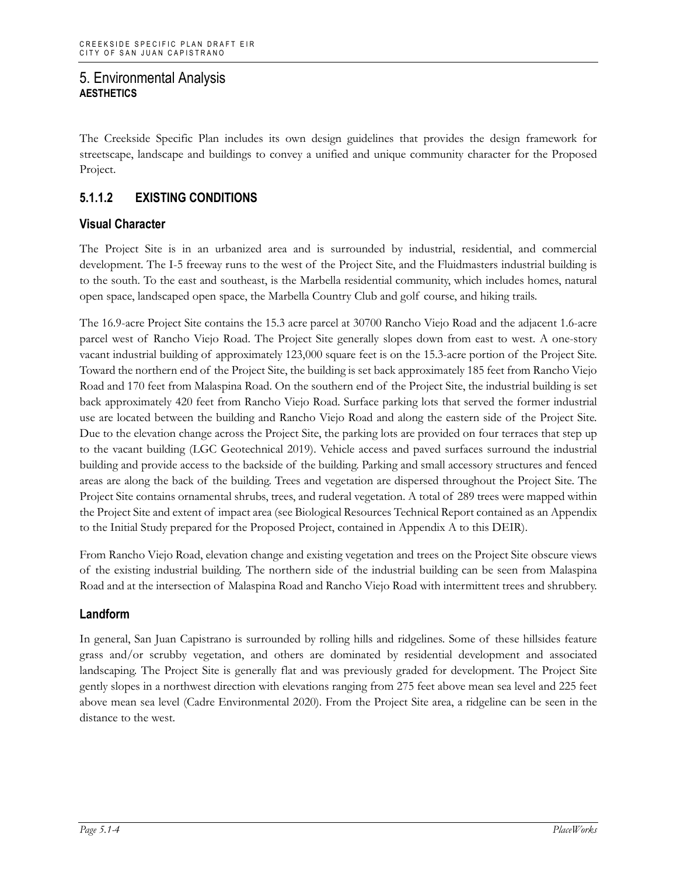The Creekside Specific Plan includes its own design guidelines that provides the design framework for streetscape, landscape and buildings to convey a unified and unique community character for the Proposed Project.

## **5.1.1.2 EXISTING CONDITIONS**

### **Visual Character**

The Project Site is in an urbanized area and is surrounded by industrial, residential, and commercial development. The I-5 freeway runs to the west of the Project Site, and the Fluidmasters industrial building is to the south. To the east and southeast, is the Marbella residential community, which includes homes, natural open space, landscaped open space, the Marbella Country Club and golf course, and hiking trails.

The 16.9-acre Project Site contains the 15.3 acre parcel at 30700 Rancho Viejo Road and the adjacent 1.6-acre parcel west of Rancho Viejo Road. The Project Site generally slopes down from east to west. A one-story vacant industrial building of approximately 123,000 square feet is on the 15.3-acre portion of the Project Site. Toward the northern end of the Project Site, the building is set back approximately 185 feet from Rancho Viejo Road and 170 feet from Malaspina Road. On the southern end of the Project Site, the industrial building is set back approximately 420 feet from Rancho Viejo Road. Surface parking lots that served the former industrial use are located between the building and Rancho Viejo Road and along the eastern side of the Project Site. Due to the elevation change across the Project Site, the parking lots are provided on four terraces that step up to the vacant building (LGC Geotechnical 2019). Vehicle access and paved surfaces surround the industrial building and provide access to the backside of the building. Parking and small accessory structures and fenced areas are along the back of the building. Trees and vegetation are dispersed throughout the Project Site. The Project Site contains ornamental shrubs, trees, and ruderal vegetation. A total of 289 trees were mapped within the Project Site and extent of impact area (see Biological Resources Technical Report contained as an Appendix to the Initial Study prepared for the Proposed Project, contained in Appendix A to this DEIR).

From Rancho Viejo Road, elevation change and existing vegetation and trees on the Project Site obscure views of the existing industrial building. The northern side of the industrial building can be seen from Malaspina Road and at the intersection of Malaspina Road and Rancho Viejo Road with intermittent trees and shrubbery.

#### **Landform**

In general, San Juan Capistrano is surrounded by rolling hills and ridgelines. Some of these hillsides feature grass and/or scrubby vegetation, and others are dominated by residential development and associated landscaping. The Project Site is generally flat and was previously graded for development. The Project Site gently slopes in a northwest direction with elevations ranging from 275 feet above mean sea level and 225 feet above mean sea level (Cadre Environmental 2020). From the Project Site area, a ridgeline can be seen in the distance to the west.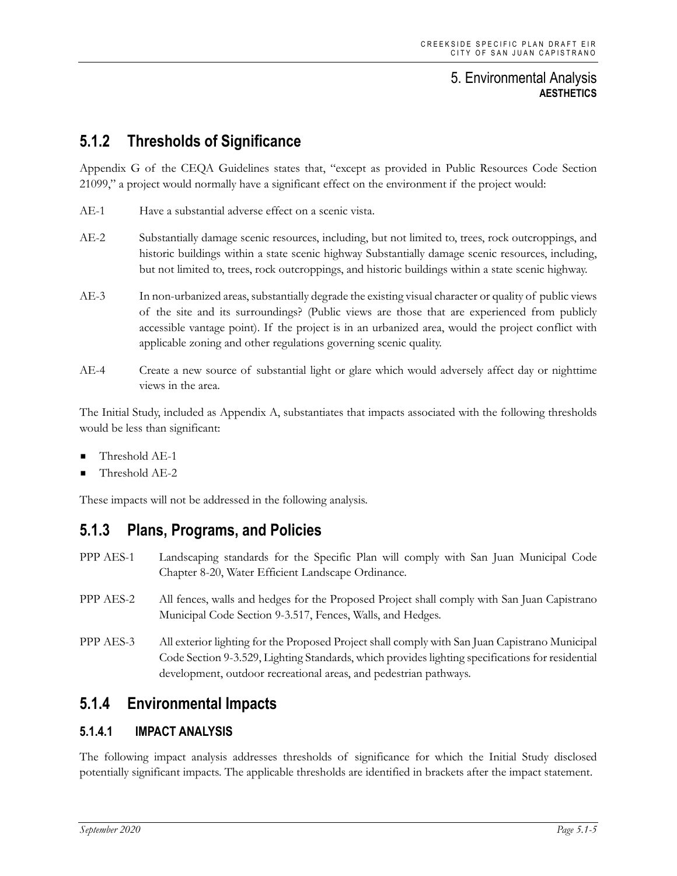# **5.1.2 Thresholds of Significance**

Appendix G of the CEQA Guidelines states that, "except as provided in Public Resources Code Section 21099," a project would normally have a significant effect on the environment if the project would:

- AE-1 Have a substantial adverse effect on a scenic vista.
- AE-2 Substantially damage scenic resources, including, but not limited to, trees, rock outcroppings, and historic buildings within a state scenic highway Substantially damage scenic resources, including, but not limited to, trees, rock outcroppings, and historic buildings within a state scenic highway.
- AE-3 In non-urbanized areas, substantially degrade the existing visual character or quality of public views of the site and its surroundings? (Public views are those that are experienced from publicly accessible vantage point). If the project is in an urbanized area, would the project conflict with applicable zoning and other regulations governing scenic quality.
- AE-4 Create a new source of substantial light or glare which would adversely affect day or nighttime views in the area.

The Initial Study, included as Appendix A, substantiates that impacts associated with the following thresholds would be less than significant:

- Threshold AE-1
- Threshold AE-2

These impacts will not be addressed in the following analysis.

## **5.1.3 Plans, Programs, and Policies**

- PPP AES-1 Landscaping standards for the Specific Plan will comply with San Juan Municipal Code Chapter 8-20, Water Efficient Landscape Ordinance.
- PPP AES-2 All fences, walls and hedges for the Proposed Project shall comply with San Juan Capistrano Municipal Code Section 9-3.517, Fences, Walls, and Hedges.
- PPP AES-3 All exterior lighting for the Proposed Project shall comply with San Juan Capistrano Municipal Code Section 9-3.529, Lighting Standards, which provides lighting specifications for residential development, outdoor recreational areas, and pedestrian pathways.

# **5.1.4 Environmental Impacts**

### **5.1.4.1 IMPACT ANALYSIS**

The following impact analysis addresses thresholds of significance for which the Initial Study disclosed potentially significant impacts. The applicable thresholds are identified in brackets after the impact statement.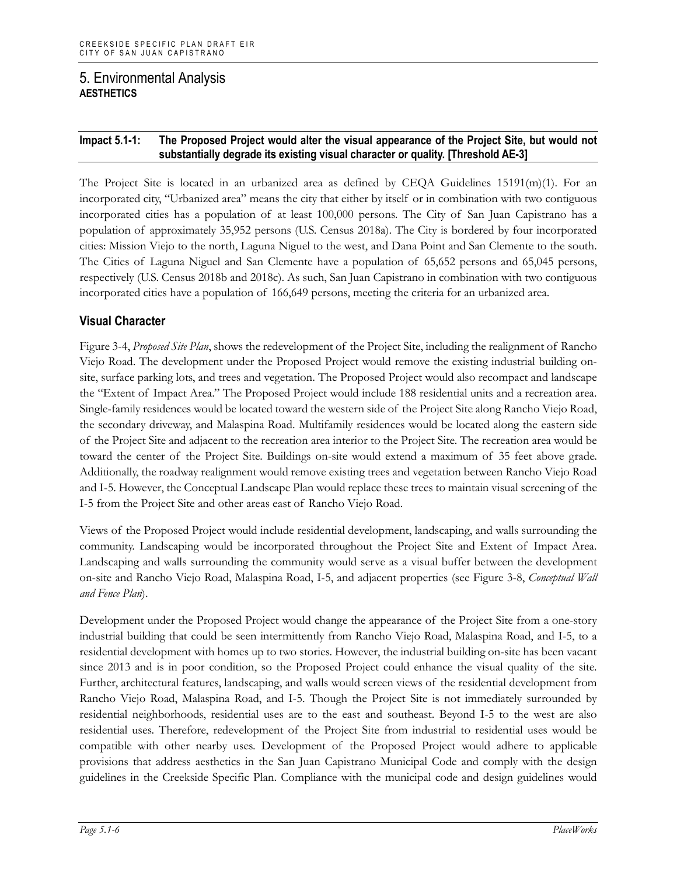#### **Impact 5.1-1: The Proposed Project would alter the visual appearance of the Project Site, but would not substantially degrade its existing visual character or quality. [Threshold AE-3]**

The Project Site is located in an urbanized area as defined by CEQA Guidelines 15191(m)(1). For an incorporated city, "Urbanized area" means the city that either by itself or in combination with two contiguous incorporated cities has a population of at least 100,000 persons. The City of San Juan Capistrano has a population of approximately 35,952 persons (U.S. Census 2018a). The City is bordered by four incorporated cities: Mission Viejo to the north, Laguna Niguel to the west, and Dana Point and San Clemente to the south. The Cities of Laguna Niguel and San Clemente have a population of 65,652 persons and 65,045 persons, respectively (U.S. Census 2018b and 2018c). As such, San Juan Capistrano in combination with two contiguous incorporated cities have a population of 166,649 persons, meeting the criteria for an urbanized area.

#### **Visual Character**

Figure 3-4, *Proposed Site Plan*, shows the redevelopment of the Project Site, including the realignment of Rancho Viejo Road. The development under the Proposed Project would remove the existing industrial building onsite, surface parking lots, and trees and vegetation. The Proposed Project would also recompact and landscape the "Extent of Impact Area." The Proposed Project would include 188 residential units and a recreation area. Single-family residences would be located toward the western side of the Project Site along Rancho Viejo Road, the secondary driveway, and Malaspina Road. Multifamily residences would be located along the eastern side of the Project Site and adjacent to the recreation area interior to the Project Site. The recreation area would be toward the center of the Project Site. Buildings on-site would extend a maximum of 35 feet above grade. Additionally, the roadway realignment would remove existing trees and vegetation between Rancho Viejo Road and I-5. However, the Conceptual Landscape Plan would replace these trees to maintain visual screening of the I-5 from the Project Site and other areas east of Rancho Viejo Road.

Views of the Proposed Project would include residential development, landscaping, and walls surrounding the community. Landscaping would be incorporated throughout the Project Site and Extent of Impact Area. Landscaping and walls surrounding the community would serve as a visual buffer between the development on-site and Rancho Viejo Road, Malaspina Road, I-5, and adjacent properties (see Figure 3-8, *Conceptual Wall and Fence Plan*).

Development under the Proposed Project would change the appearance of the Project Site from a one-story industrial building that could be seen intermittently from Rancho Viejo Road, Malaspina Road, and I-5, to a residential development with homes up to two stories. However, the industrial building on-site has been vacant since 2013 and is in poor condition, so the Proposed Project could enhance the visual quality of the site. Further, architectural features, landscaping, and walls would screen views of the residential development from Rancho Viejo Road, Malaspina Road, and I-5. Though the Project Site is not immediately surrounded by residential neighborhoods, residential uses are to the east and southeast. Beyond I-5 to the west are also residential uses. Therefore, redevelopment of the Project Site from industrial to residential uses would be compatible with other nearby uses. Development of the Proposed Project would adhere to applicable provisions that address aesthetics in the San Juan Capistrano Municipal Code and comply with the design guidelines in the Creekside Specific Plan. Compliance with the municipal code and design guidelines would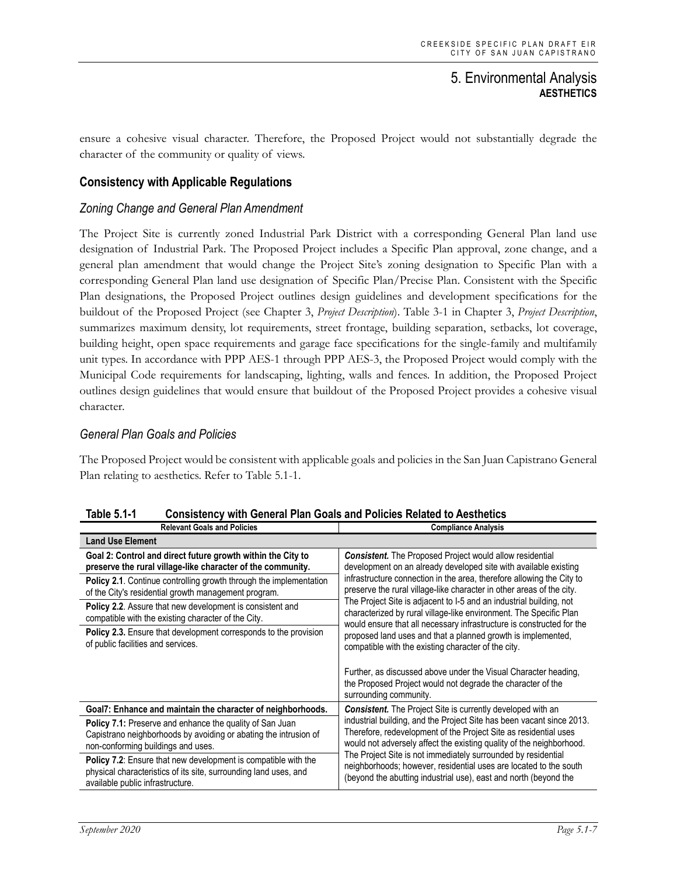ensure a cohesive visual character. Therefore, the Proposed Project would not substantially degrade the character of the community or quality of views.

#### **Consistency with Applicable Regulations**

#### *Zoning Change and General Plan Amendment*

The Project Site is currently zoned Industrial Park District with a corresponding General Plan land use designation of Industrial Park. The Proposed Project includes a Specific Plan approval, zone change, and a general plan amendment that would change the Project Site's zoning designation to Specific Plan with a corresponding General Plan land use designation of Specific Plan/Precise Plan. Consistent with the Specific Plan designations, the Proposed Project outlines design guidelines and development specifications for the buildout of the Proposed Project (see Chapter 3, *Project Description*). Table 3-1 in Chapter 3, *Project Description*, summarizes maximum density, lot requirements, street frontage, building separation, setbacks, lot coverage, building height, open space requirements and garage face specifications for the single-family and multifamily unit types. In accordance with PPP AES-1 through PPP AES-3, the Proposed Project would comply with the Municipal Code requirements for landscaping, lighting, walls and fences. In addition, the Proposed Project outlines design guidelines that would ensure that buildout of the Proposed Project provides a cohesive visual character.

#### *General Plan Goals and Policies*

The Proposed Project would be consistent with applicable goals and policies in the San Juan Capistrano General Plan relating to aesthetics. Refer to Table 5.1-1.

| <b>Relevant Goals and Policies</b>                                                                                                                                        | <b>Compliance Analysis</b>                                                                                                                                                                                                                                                                                                                                                                                                                                                                                                                                                                                                         |
|---------------------------------------------------------------------------------------------------------------------------------------------------------------------------|------------------------------------------------------------------------------------------------------------------------------------------------------------------------------------------------------------------------------------------------------------------------------------------------------------------------------------------------------------------------------------------------------------------------------------------------------------------------------------------------------------------------------------------------------------------------------------------------------------------------------------|
| <b>Land Use Element</b>                                                                                                                                                   |                                                                                                                                                                                                                                                                                                                                                                                                                                                                                                                                                                                                                                    |
| Goal 2: Control and direct future growth within the City to<br>preserve the rural village-like character of the community.                                                | <b>Consistent.</b> The Proposed Project would allow residential<br>development on an already developed site with available existing<br>infrastructure connection in the area, therefore allowing the City to<br>preserve the rural village-like character in other areas of the city.<br>The Project Site is adjacent to I-5 and an industrial building, not<br>characterized by rural village-like environment. The Specific Plan<br>would ensure that all necessary infrastructure is constructed for the<br>proposed land uses and that a planned growth is implemented,<br>compatible with the existing character of the city. |
| <b>Policy 2.1.</b> Continue controlling growth through the implementation<br>of the City's residential growth management program.                                         |                                                                                                                                                                                                                                                                                                                                                                                                                                                                                                                                                                                                                                    |
| Policy 2.2. Assure that new development is consistent and<br>compatible with the existing character of the City.                                                          |                                                                                                                                                                                                                                                                                                                                                                                                                                                                                                                                                                                                                                    |
| Policy 2.3. Ensure that development corresponds to the provision<br>of public facilities and services.                                                                    |                                                                                                                                                                                                                                                                                                                                                                                                                                                                                                                                                                                                                                    |
|                                                                                                                                                                           | Further, as discussed above under the Visual Character heading,<br>the Proposed Project would not degrade the character of the<br>surrounding community.                                                                                                                                                                                                                                                                                                                                                                                                                                                                           |
| Goal7: Enhance and maintain the character of neighborhoods.                                                                                                               | <b>Consistent.</b> The Project Site is currently developed with an<br>industrial building, and the Project Site has been vacant since 2013.<br>Therefore, redevelopment of the Project Site as residential uses<br>would not adversely affect the existing quality of the neighborhood.<br>The Project Site is not immediately surrounded by residential<br>neighborhoods; however, residential uses are located to the south<br>(beyond the abutting industrial use), east and north (beyond the                                                                                                                                  |
| <b>Policy 7.1:</b> Preserve and enhance the quality of San Juan<br>Capistrano neighborhoods by avoiding or abating the intrusion of<br>non-conforming buildings and uses. |                                                                                                                                                                                                                                                                                                                                                                                                                                                                                                                                                                                                                                    |
| Policy 7.2: Ensure that new development is compatible with the<br>physical characteristics of its site, surrounding land uses, and<br>available public infrastructure.    |                                                                                                                                                                                                                                                                                                                                                                                                                                                                                                                                                                                                                                    |

**Table 5.1-1 Consistency with General Plan Goals and Policies Related to Aesthetics**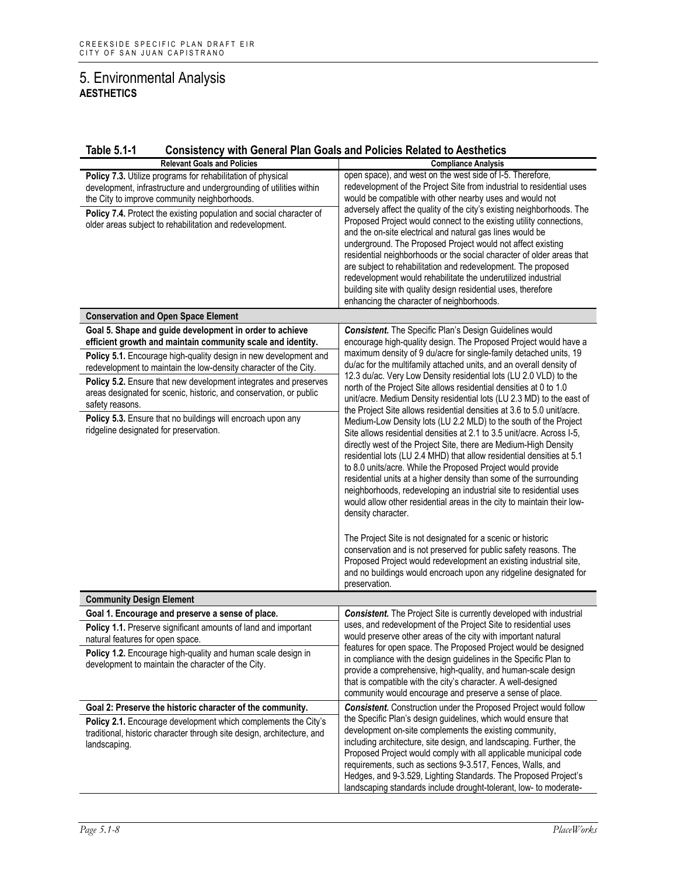#### **Table 5.1-1 Consistency with General Plan Goals and Policies Related to Aesthetics**

| <b>Relevant Goals and Policies</b>                                                                                                                                                                                                                                                                                                                                                                                                                                                                                                   | <b>Compliance Analysis</b>                                                                                                                                                                                                                                                                                                                                                                                                                                                                                                                                                                                                                                                                                                                                                                                                                                                                                                                                                                                                                                                                                                                                                                                                                                                                                                                                                                                                                                                       |
|--------------------------------------------------------------------------------------------------------------------------------------------------------------------------------------------------------------------------------------------------------------------------------------------------------------------------------------------------------------------------------------------------------------------------------------------------------------------------------------------------------------------------------------|----------------------------------------------------------------------------------------------------------------------------------------------------------------------------------------------------------------------------------------------------------------------------------------------------------------------------------------------------------------------------------------------------------------------------------------------------------------------------------------------------------------------------------------------------------------------------------------------------------------------------------------------------------------------------------------------------------------------------------------------------------------------------------------------------------------------------------------------------------------------------------------------------------------------------------------------------------------------------------------------------------------------------------------------------------------------------------------------------------------------------------------------------------------------------------------------------------------------------------------------------------------------------------------------------------------------------------------------------------------------------------------------------------------------------------------------------------------------------------|
| Policy 7.3. Utilize programs for rehabilitation of physical<br>development, infrastructure and undergrounding of utilities within<br>the City to improve community neighborhoods.<br>Policy 7.4. Protect the existing population and social character of<br>older areas subject to rehabilitation and redevelopment.                                                                                                                                                                                                                 | open space), and west on the west side of I-5. Therefore,<br>redevelopment of the Project Site from industrial to residential uses<br>would be compatible with other nearby uses and would not<br>adversely affect the quality of the city's existing neighborhoods. The<br>Proposed Project would connect to the existing utility connections,<br>and the on-site electrical and natural gas lines would be<br>underground. The Proposed Project would not affect existing<br>residential neighborhoods or the social character of older areas that<br>are subject to rehabilitation and redevelopment. The proposed<br>redevelopment would rehabilitate the underutilized industrial<br>building site with quality design residential uses, therefore<br>enhancing the character of neighborhoods.                                                                                                                                                                                                                                                                                                                                                                                                                                                                                                                                                                                                                                                                             |
| <b>Conservation and Open Space Element</b>                                                                                                                                                                                                                                                                                                                                                                                                                                                                                           |                                                                                                                                                                                                                                                                                                                                                                                                                                                                                                                                                                                                                                                                                                                                                                                                                                                                                                                                                                                                                                                                                                                                                                                                                                                                                                                                                                                                                                                                                  |
| Goal 5. Shape and guide development in order to achieve<br>efficient growth and maintain community scale and identity.<br>Policy 5.1. Encourage high-quality design in new development and<br>redevelopment to maintain the low-density character of the City.<br>Policy 5.2. Ensure that new development integrates and preserves<br>areas designated for scenic, historic, and conservation, or public<br>safety reasons.<br>Policy 5.3. Ensure that no buildings will encroach upon any<br>ridgeline designated for preservation. | <b>Consistent.</b> The Specific Plan's Design Guidelines would<br>encourage high-quality design. The Proposed Project would have a<br>maximum density of 9 du/acre for single-family detached units, 19<br>du/ac for the multifamily attached units, and an overall density of<br>12.3 du/ac. Very Low Density residential lots (LU 2.0 VLD) to the<br>north of the Project Site allows residential densities at 0 to 1.0<br>unit/acre. Medium Density residential lots (LU 2.3 MD) to the east of<br>the Project Site allows residential densities at 3.6 to 5.0 unit/acre.<br>Medium-Low Density lots (LU 2.2 MLD) to the south of the Project<br>Site allows residential densities at 2.1 to 3.5 unit/acre. Across I-5,<br>directly west of the Project Site, there are Medium-High Density<br>residential lots (LU 2.4 MHD) that allow residential densities at 5.1<br>to 8.0 units/acre. While the Proposed Project would provide<br>residential units at a higher density than some of the surrounding<br>neighborhoods, redeveloping an industrial site to residential uses<br>would allow other residential areas in the city to maintain their low-<br>density character.<br>The Project Site is not designated for a scenic or historic<br>conservation and is not preserved for public safety reasons. The<br>Proposed Project would redevelopment an existing industrial site,<br>and no buildings would encroach upon any ridgeline designated for<br>preservation. |
| <b>Community Design Element</b>                                                                                                                                                                                                                                                                                                                                                                                                                                                                                                      |                                                                                                                                                                                                                                                                                                                                                                                                                                                                                                                                                                                                                                                                                                                                                                                                                                                                                                                                                                                                                                                                                                                                                                                                                                                                                                                                                                                                                                                                                  |
| Goal 1. Encourage and preserve a sense of place.                                                                                                                                                                                                                                                                                                                                                                                                                                                                                     | <b>Consistent.</b> The Project Site is currently developed with industrial                                                                                                                                                                                                                                                                                                                                                                                                                                                                                                                                                                                                                                                                                                                                                                                                                                                                                                                                                                                                                                                                                                                                                                                                                                                                                                                                                                                                       |
| Policy 1.1. Preserve significant amounts of land and important<br>natural features for open space.<br>Policy 1.2. Encourage high-quality and human scale design in<br>development to maintain the character of the City.                                                                                                                                                                                                                                                                                                             | uses, and redevelopment of the Project Site to residential uses<br>would preserve other areas of the city with important natural<br>features for open space. The Proposed Project would be designed<br>in compliance with the design guidelines in the Specific Plan to<br>provide a comprehensive, high-quality, and human-scale design<br>that is compatible with the city's character. A well-designed<br>community would encourage and preserve a sense of place.                                                                                                                                                                                                                                                                                                                                                                                                                                                                                                                                                                                                                                                                                                                                                                                                                                                                                                                                                                                                            |
| Goal 2: Preserve the historic character of the community.<br>Policy 2.1. Encourage development which complements the City's<br>traditional, historic character through site design, architecture, and<br>landscaping.                                                                                                                                                                                                                                                                                                                | <b>Consistent.</b> Construction under the Proposed Project would follow<br>the Specific Plan's design guidelines, which would ensure that<br>development on-site complements the existing community,<br>including architecture, site design, and landscaping. Further, the<br>Proposed Project would comply with all applicable municipal code<br>requirements, such as sections 9-3.517, Fences, Walls, and<br>Hedges, and 9-3.529, Lighting Standards. The Proposed Project's<br>landscaping standards include drought-tolerant, low- to moderate-                                                                                                                                                                                                                                                                                                                                                                                                                                                                                                                                                                                                                                                                                                                                                                                                                                                                                                                             |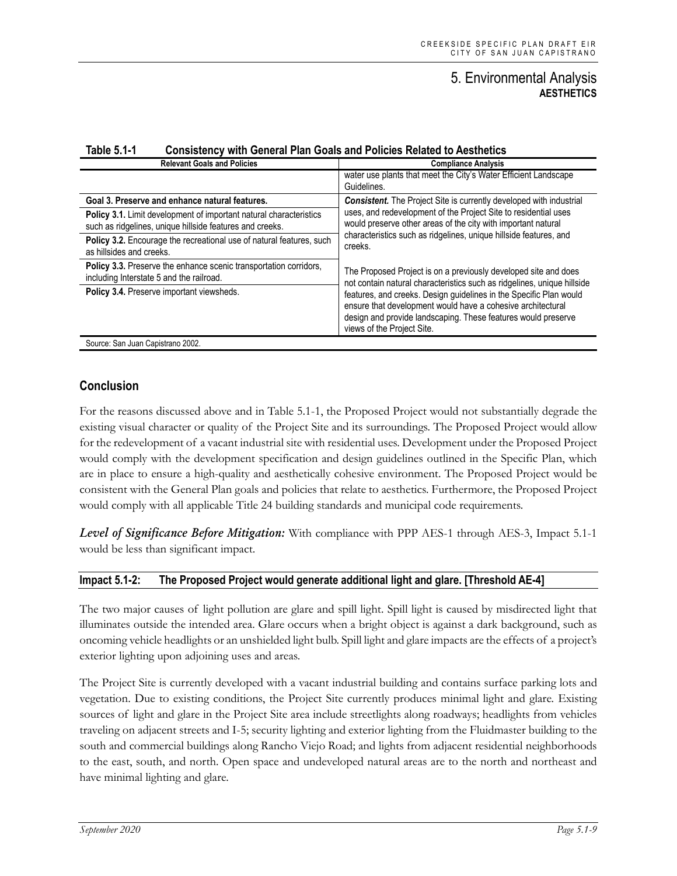| <b>Relevant Goals and Policies</b>                                                                                             | <b>Compliance Analysis</b>                                                                                                                                                                                                                                                                                                                                                     |
|--------------------------------------------------------------------------------------------------------------------------------|--------------------------------------------------------------------------------------------------------------------------------------------------------------------------------------------------------------------------------------------------------------------------------------------------------------------------------------------------------------------------------|
|                                                                                                                                | water use plants that meet the City's Water Efficient Landscape<br>Guidelines.                                                                                                                                                                                                                                                                                                 |
| Goal 3. Preserve and enhance natural features.                                                                                 | <b>Consistent.</b> The Project Site is currently developed with industrial<br>uses, and redevelopment of the Project Site to residential uses<br>would preserve other areas of the city with important natural<br>characteristics such as ridgelines, unique hillside features, and<br>creeks.                                                                                 |
| Policy 3.1. Limit development of important natural characteristics<br>such as ridgelines, unique hillside features and creeks. |                                                                                                                                                                                                                                                                                                                                                                                |
| Policy 3.2. Encourage the recreational use of natural features, such<br>as hillsides and creeks.                               |                                                                                                                                                                                                                                                                                                                                                                                |
| <b>Policy 3.3.</b> Preserve the enhance scenic transportation corridors.<br>including Interstate 5 and the railroad.           | The Proposed Project is on a previously developed site and does<br>not contain natural characteristics such as ridgelines, unique hillside<br>features, and creeks. Design guidelines in the Specific Plan would<br>ensure that development would have a cohesive architectural<br>design and provide landscaping. These features would preserve<br>views of the Project Site. |
| Policy 3.4. Preserve important viewsheds.                                                                                      |                                                                                                                                                                                                                                                                                                                                                                                |
| Source: San Juan Capistrano 2002.                                                                                              |                                                                                                                                                                                                                                                                                                                                                                                |

#### **Table 5.1-1 Consistency with General Plan Goals and Policies Related to Aesthetics**

#### **Conclusion**

For the reasons discussed above and in Table 5.1-1, the Proposed Project would not substantially degrade the existing visual character or quality of the Project Site and its surroundings. The Proposed Project would allow for the redevelopment of a vacant industrial site with residential uses. Development under the Proposed Project would comply with the development specification and design guidelines outlined in the Specific Plan, which are in place to ensure a high-quality and aesthetically cohesive environment. The Proposed Project would be consistent with the General Plan goals and policies that relate to aesthetics. Furthermore, the Proposed Project would comply with all applicable Title 24 building standards and municipal code requirements.

*Level of Significance Before Mitigation:* With compliance with PPP AES-1 through AES-3, Impact 5.1-1 would be less than significant impact.

#### **Impact 5.1-2: The Proposed Project would generate additional light and glare. [Threshold AE-4]**

The two major causes of light pollution are glare and spill light. Spill light is caused by misdirected light that illuminates outside the intended area. Glare occurs when a bright object is against a dark background, such as oncoming vehicle headlights or an unshielded light bulb. Spill light and glare impacts are the effects of a project's exterior lighting upon adjoining uses and areas.

The Project Site is currently developed with a vacant industrial building and contains surface parking lots and vegetation. Due to existing conditions, the Project Site currently produces minimal light and glare. Existing sources of light and glare in the Project Site area include streetlights along roadways; headlights from vehicles traveling on adjacent streets and I-5; security lighting and exterior lighting from the Fluidmaster building to the south and commercial buildings along Rancho Viejo Road; and lights from adjacent residential neighborhoods to the east, south, and north. Open space and undeveloped natural areas are to the north and northeast and have minimal lighting and glare.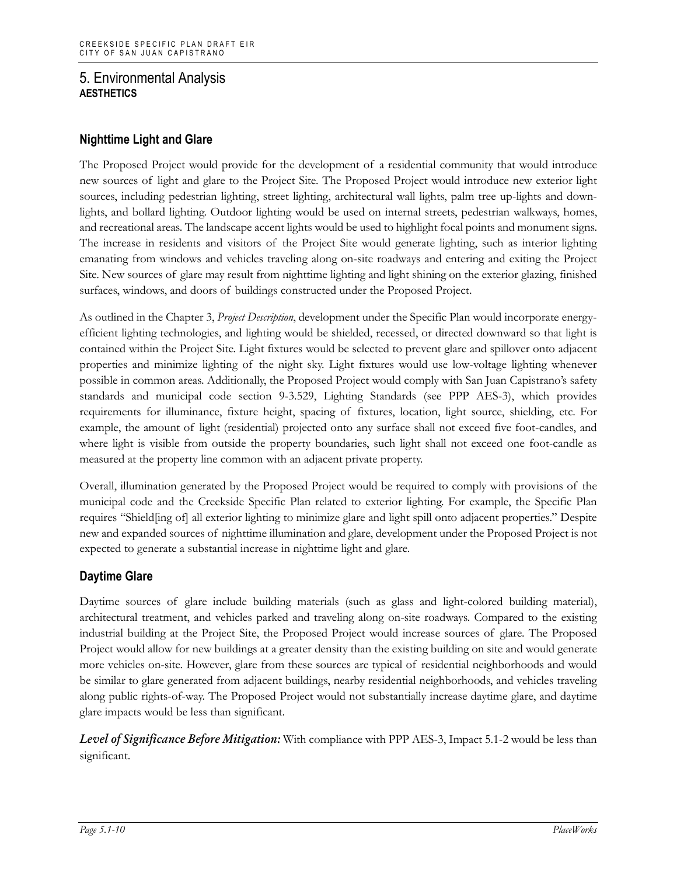### **Nighttime Light and Glare**

The Proposed Project would provide for the development of a residential community that would introduce new sources of light and glare to the Project Site. The Proposed Project would introduce new exterior light sources, including pedestrian lighting, street lighting, architectural wall lights, palm tree up-lights and downlights, and bollard lighting. Outdoor lighting would be used on internal streets, pedestrian walkways, homes, and recreational areas. The landscape accent lights would be used to highlight focal points and monument signs. The increase in residents and visitors of the Project Site would generate lighting, such as interior lighting emanating from windows and vehicles traveling along on-site roadways and entering and exiting the Project Site. New sources of glare may result from nighttime lighting and light shining on the exterior glazing, finished surfaces, windows, and doors of buildings constructed under the Proposed Project.

As outlined in the Chapter 3, *Project Description*, development under the Specific Plan would incorporate energyefficient lighting technologies, and lighting would be shielded, recessed, or directed downward so that light is contained within the Project Site. Light fixtures would be selected to prevent glare and spillover onto adjacent properties and minimize lighting of the night sky. Light fixtures would use low-voltage lighting whenever possible in common areas. Additionally, the Proposed Project would comply with San Juan Capistrano's safety standards and municipal code section 9-3.529, Lighting Standards (see PPP AES-3), which provides requirements for illuminance, fixture height, spacing of fixtures, location, light source, shielding, etc. For example, the amount of light (residential) projected onto any surface shall not exceed five foot-candles, and where light is visible from outside the property boundaries, such light shall not exceed one foot-candle as measured at the property line common with an adjacent private property.

Overall, illumination generated by the Proposed Project would be required to comply with provisions of the municipal code and the Creekside Specific Plan related to exterior lighting. For example, the Specific Plan requires "Shield[ing of] all exterior lighting to minimize glare and light spill onto adjacent properties." Despite new and expanded sources of nighttime illumination and glare, development under the Proposed Project is not expected to generate a substantial increase in nighttime light and glare.

#### **Daytime Glare**

Daytime sources of glare include building materials (such as glass and light-colored building material), architectural treatment, and vehicles parked and traveling along on-site roadways. Compared to the existing industrial building at the Project Site, the Proposed Project would increase sources of glare. The Proposed Project would allow for new buildings at a greater density than the existing building on site and would generate more vehicles on-site. However, glare from these sources are typical of residential neighborhoods and would be similar to glare generated from adjacent buildings, nearby residential neighborhoods, and vehicles traveling along public rights-of-way. The Proposed Project would not substantially increase daytime glare, and daytime glare impacts would be less than significant.

*Level of Significance Before Mitigation:* With compliance with PPP AES-3, Impact 5.1-2 would be less than significant.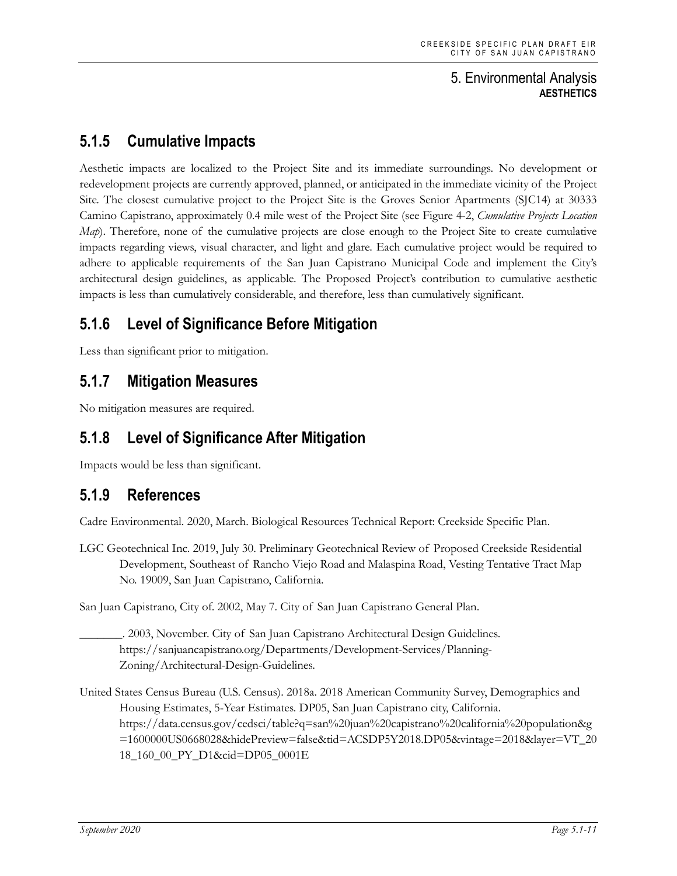# **5.1.5 Cumulative Impacts**

Aesthetic impacts are localized to the Project Site and its immediate surroundings. No development or redevelopment projects are currently approved, planned, or anticipated in the immediate vicinity of the Project Site. The closest cumulative project to the Project Site is the Groves Senior Apartments (SJC14) at 30333 Camino Capistrano, approximately 0.4 mile west of the Project Site (see Figure 4-2, *Cumulative Projects Location Map*). Therefore, none of the cumulative projects are close enough to the Project Site to create cumulative impacts regarding views, visual character, and light and glare. Each cumulative project would be required to adhere to applicable requirements of the San Juan Capistrano Municipal Code and implement the City's architectural design guidelines, as applicable. The Proposed Project's contribution to cumulative aesthetic impacts is less than cumulatively considerable, and therefore, less than cumulatively significant.

# **5.1.6 Level of Significance Before Mitigation**

Less than significant prior to mitigation.

## **5.1.7 Mitigation Measures**

No mitigation measures are required.

# **5.1.8 Level of Significance After Mitigation**

Impacts would be less than significant.

# **5.1.9 References**

Cadre Environmental. 2020, March. Biological Resources Technical Report: Creekside Specific Plan.

LGC Geotechnical Inc. 2019, July 30. Preliminary Geotechnical Review of Proposed Creekside Residential Development, Southeast of Rancho Viejo Road and Malaspina Road, Vesting Tentative Tract Map No. 19009, San Juan Capistrano, California.

San Juan Capistrano, City of. 2002, May 7. City of San Juan Capistrano General Plan.

\_\_\_\_\_\_\_. 2003, November. City of San Juan Capistrano Architectural Design Guidelines. https://sanjuancapistrano.org/Departments/Development-Services/Planning-Zoning/Architectural-Design-Guidelines.

United States Census Bureau (U.S. Census). 2018a. 2018 American Community Survey, Demographics and Housing Estimates, 5-Year Estimates. DP05, San Juan Capistrano city, California. https://data.census.gov/cedsci/table?q=san%20juan%20capistrano%20california%20population&g =1600000US0668028&hidePreview=false&tid=ACSDP5Y2018.DP05&vintage=2018&layer=VT\_20 18\_160\_00\_PY\_D1&cid=DP05\_0001E